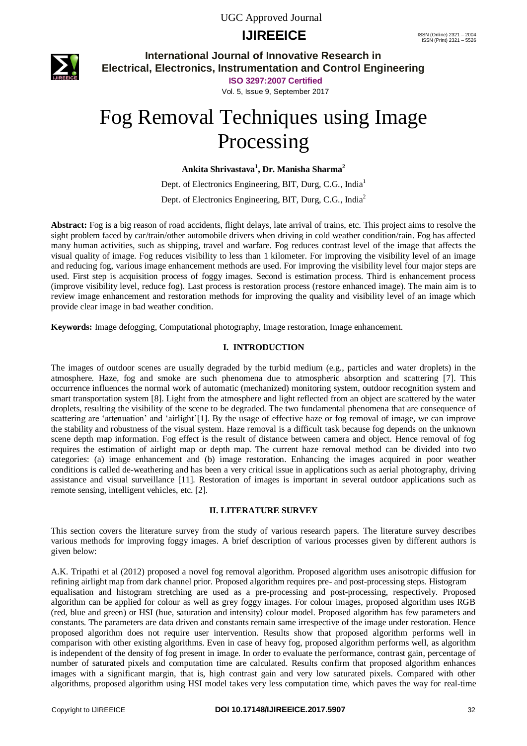UGC Approved Journal

### **IJIREEICE** ISSN (Online)  $2321 - 2004$ <br>
ISSN (Print)  $2321 - 2004$



**International Journal of Innovative Research in Electrical, Electronics, Instrumentation and Control Engineering**

**ISO 3297:2007 Certified**

Vol. 5, Issue 9, September 2017

# Fog Removal Techniques using Image Processing

**Ankita Shrivastava<sup>1</sup> , Dr. Manisha Sharma<sup>2</sup>**

Dept. of Electronics Engineering, BIT, Durg, C.G., India<sup>1</sup> Dept. of Electronics Engineering, BIT, Durg, C.G., India<sup>2</sup>

**Abstract:** Fog is a big reason of road accidents, flight delays, late arrival of trains, etc. This project aims to resolve the sight problem faced by car/train/other automobile drivers when driving in cold weather condition/rain. Fog has affected many human activities, such as shipping, travel and warfare. Fog reduces contrast level of the image that affects the visual quality of image. Fog reduces visibility to less than 1 kilometer. For improving the visibility level of an image and reducing fog, various image enhancement methods are used. For improving the visibility level four major steps are used. First step is acquisition process of foggy images. Second is estimation process. Third is enhancement process (improve visibility level, reduce fog). Last process is restoration process (restore enhanced image). The main aim is to review image enhancement and restoration methods for improving the quality and visibility level of an image which provide clear image in bad weather condition.

**Keywords:** Image defogging, Computational photography, Image restoration, Image enhancement.

#### **I. INTRODUCTION**

The images of outdoor scenes are usually degraded by the turbid medium (e.g., particles and water droplets) in the atmosphere. Haze, fog and smoke are such phenomena due to atmospheric absorption and scattering [7]. This occurrence influences the normal work of automatic (mechanized) monitoring system, outdoor recognition system and smart transportation system [8]. Light from the atmosphere and light reflected from an object are scattered by the water droplets, resulting the visibility of the scene to be degraded. The two fundamental phenomena that are consequence of scattering are 'attenuation' and 'airlight'[1]. By the usage of effective haze or fog removal of image, we can improve the stability and robustness of the visual system. Haze removal is a difficult task because fog depends on the unknown scene depth map information. Fog effect is the result of distance between camera and object. Hence removal of fog requires the estimation of airlight map or depth map. The current haze removal method can be divided into two categories: (a) image enhancement and (b) image restoration. Enhancing the images acquired in poor weather conditions is called de-weathering and has been a very critical issue in applications such as aerial photography, driving assistance and visual surveillance [11]. Restoration of images is important in several outdoor applications such as remote sensing, intelligent vehicles, etc. [2].

#### **II. LITERATURE SURVEY**

This section covers the literature survey from the study of various research papers. The literature survey describes various methods for improving foggy images. A brief description of various processes given by different authors is given below:

A.K. Tripathi et al (2012) proposed a novel fog removal algorithm. Proposed algorithm uses anisotropic diffusion for refining airlight map from dark channel prior. Proposed algorithm requires pre- and post-processing steps. Histogram equalisation and histogram stretching are used as a pre-processing and post-processing, respectively. Proposed algorithm can be applied for colour as well as grey foggy images. For colour images, proposed algorithm uses RGB (red, blue and green) or HSI (hue, saturation and intensity) colour model. Proposed algorithm has few parameters and constants. The parameters are data driven and constants remain same irrespective of the image under restoration. Hence proposed algorithm does not require user intervention. Results show that proposed algorithm performs well in comparison with other existing algorithms. Even in case of heavy fog, proposed algorithm performs well, as algorithm is independent of the density of fog present in image. In order to evaluate the performance, contrast gain, percentage of number of saturated pixels and computation time are calculated. Results confirm that proposed algorithm enhances images with a significant margin, that is, high contrast gain and very low saturated pixels. Compared with other algorithms, proposed algorithm using HSI model takes very less computation time, which paves the way for real-time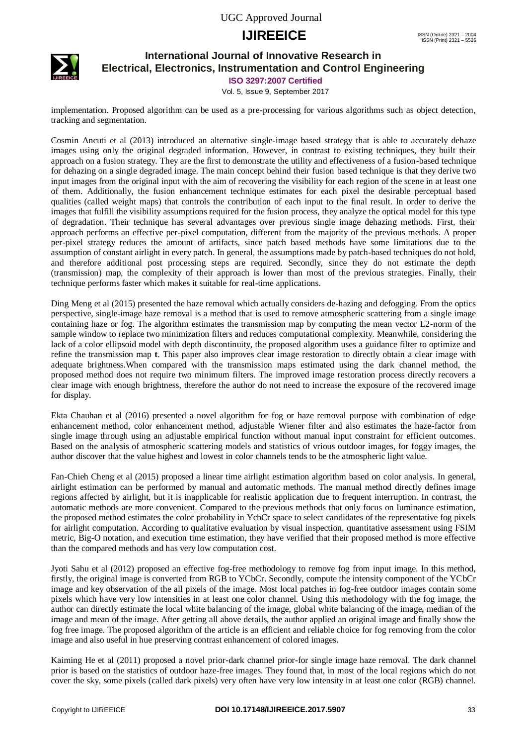# **IJIREEICE** ISSN (Online)  $2321 - 2004$ <br>
ISSN (Print)  $2321 - 2004$



### **International Journal of Innovative Research in Electrical, Electronics, Instrumentation and Control Engineering**

**ISO 3297:2007 Certified**

Vol. 5, Issue 9, September 2017

implementation. Proposed algorithm can be used as a pre-processing for various algorithms such as object detection, tracking and segmentation.

Cosmin Ancuti et al (2013) introduced an alternative single-image based strategy that is able to accurately dehaze images using only the original degraded information. However, in contrast to existing techniques, they built their approach on a fusion strategy. They are the first to demonstrate the utility and effectiveness of a fusion-based technique for dehazing on a single degraded image. The main concept behind their fusion based technique is that they derive two input images from the original input with the aim of recovering the visibility for each region of the scene in at least one of them. Additionally, the fusion enhancement technique estimates for each pixel the desirable perceptual based qualities (called weight maps) that controls the contribution of each input to the final result. In order to derive the images that fulfill the visibility assumptions required for the fusion process, they analyze the optical model for this type of degradation. Their technique has several advantages over previous single image dehazing methods. First, their approach performs an effective per-pixel computation, different from the majority of the previous methods. A proper per-pixel strategy reduces the amount of artifacts, since patch based methods have some limitations due to the assumption of constant airlight in every patch. In general, the assumptions made by patch-based techniques do not hold, and therefore additional post processing steps are required. Secondly, since they do not estimate the depth (transmission) map, the complexity of their approach is lower than most of the previous strategies. Finally, their technique performs faster which makes it suitable for real-time applications.

Ding Meng et al (2015) presented the haze removal which actually considers de-hazing and defogging. From the optics perspective, single-image haze removal is a method that is used to remove atmospheric scattering from a single image containing haze or fog. The algorithm estimates the transmission map by computing the mean vector L2-norm of the sample window to replace two minimization filters and reduces computational complexity. Meanwhile, considering the lack of a color ellipsoid model with depth discontinuity, the proposed algorithm uses a guidance filter to optimize and refine the transmission map **t**. This paper also improves clear image restoration to directly obtain a clear image with adequate brightness.When compared with the transmission maps estimated using the dark channel method, the proposed method does not require two minimum filters. The improved image restoration process directly recovers a clear image with enough brightness, therefore the author do not need to increase the exposure of the recovered image for display.

Ekta Chauhan et al (2016) presented a novel algorithm for fog or haze removal purpose with combination of edge enhancement method, color enhancement method, adjustable Wiener filter and also estimates the haze-factor from single image through using an adjustable empirical function without manual input constraint for efficient outcomes. Based on the analysis of atmospheric scattering models and statistics of vrious outdoor images, for foggy images, the author discover that the value highest and lowest in color channels tends to be the atmospheric light value.

Fan-Chieh Cheng et al (2015) proposed a linear time airlight estimation algorithm based on color analysis. In general, airlight estimation can be performed by manual and automatic methods. The manual method directly defines image regions affected by airlight, but it is inapplicable for realistic application due to frequent interruption. In contrast, the automatic methods are more convenient. Compared to the previous methods that only focus on luminance estimation, the proposed method estimates the color probability in YcbCr space to select candidates of the representative fog pixels for airlight computation. According to qualitative evaluation by visual inspection, quantitative assessment using FSIM metric, Big-O notation, and execution time estimation, they have verified that their proposed method is more effective than the compared methods and has very low computation cost.

Jyoti Sahu et al (2012) proposed an effective fog-free methodology to remove fog from input image. In this method, firstly, the original image is converted from RGB to YCbCr. Secondly, compute the intensity component of the YCbCr image and key observation of the all pixels of the image. Most local patches in fog-free outdoor images contain some pixels which have very low intensities in at least one color channel. Using this methodology with the fog image, the author can directly estimate the local white balancing of the image, global white balancing of the image, median of the image and mean of the image. After getting all above details, the author applied an original image and finally show the fog free image. The proposed algorithm of the article is an efficient and reliable choice for fog removing from the color image and also useful in hue preserving contrast enhancement of colored images.

Kaiming He et al (2011) proposed a novel prior-dark channel prior-for single image haze removal. The dark channel prior is based on the statistics of outdoor haze-free images. They found that, in most of the local regions which do not cover the sky, some pixels (called dark pixels) very often have very low intensity in at least one color (RGB) channel.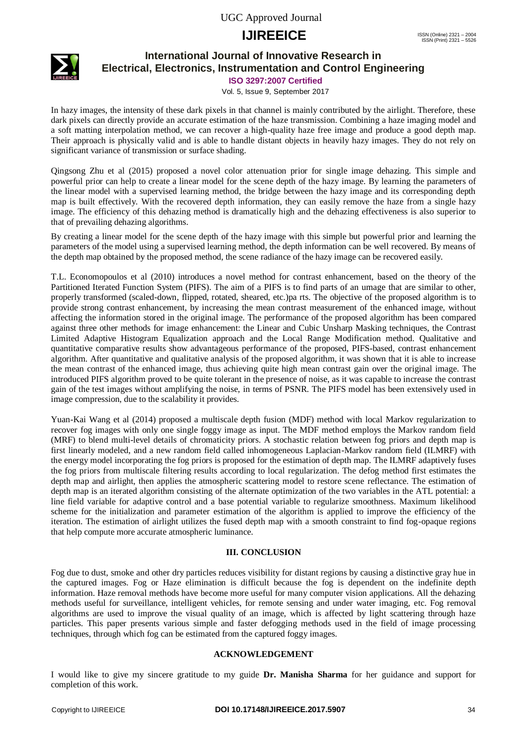# **IJIREEICE** ISSN (Online)  $2321 - 2004$ <br>
ISSN (Print)  $2321 - 2004$



### **International Journal of Innovative Research in Electrical, Electronics, Instrumentation and Control Engineering**

**ISO 3297:2007 Certified**

Vol. 5, Issue 9, September 2017

In hazy images, the intensity of these dark pixels in that channel is mainly contributed by the airlight. Therefore, these dark pixels can directly provide an accurate estimation of the haze transmission. Combining a haze imaging model and a soft matting interpolation method, we can recover a high-quality haze free image and produce a good depth map. Their approach is physically valid and is able to handle distant objects in heavily hazy images. They do not rely on significant variance of transmission or surface shading.

Qingsong Zhu et al (2015) proposed a novel color attenuation prior for single image dehazing. This simple and powerful prior can help to create a linear model for the scene depth of the hazy image. By learning the parameters of the linear model with a supervised learning method, the bridge between the hazy image and its corresponding depth map is built effectively. With the recovered depth information, they can easily remove the haze from a single hazy image. The efficiency of this dehazing method is dramatically high and the dehazing effectiveness is also superior to that of prevailing dehazing algorithms.

By creating a linear model for the scene depth of the hazy image with this simple but powerful prior and learning the parameters of the model using a supervised learning method, the depth information can be well recovered. By means of the depth map obtained by the proposed method, the scene radiance of the hazy image can be recovered easily.

T.L. Economopoulos et al (2010) introduces a novel method for contrast enhancement, based on the theory of the Partitioned Iterated Function System (PIFS). The aim of a PIFS is to find parts of an umage that are similar to other, properly transformed (scaled-down, flipped, rotated, sheared, etc.)pa rts. The objective of the proposed algorithm is to provide strong contrast enhancement, by increasing the mean contrast measurement of the enhanced image, without affecting the information stored in the original image. The performance of the proposed algorithm has been compared against three other methods for image enhancement: the Linear and Cubic Unsharp Masking techniques, the Contrast Limited Adaptive Histogram Equalization approach and the Local Range Modification method. Qualitative and quantitative comparative results show advantageous performance of the proposed, PIFS-based, contrast enhancement algorithm. After quantitative and qualitative analysis of the proposed algorithm, it was shown that it is able to increase the mean contrast of the enhanced image, thus achieving quite high mean contrast gain over the original image. The introduced PIFS algorithm proved to be quite tolerant in the presence of noise, as it was capable to increase the contrast gain of the test images without amplifying the noise, in terms of PSNR. The PIFS model has been extensively used in image compression, due to the scalability it provides.

Yuan-Kai Wang et al (2014) proposed a multiscale depth fusion (MDF) method with local Markov regularization to recover fog images with only one single foggy image as input. The MDF method employs the Markov random field (MRF) to blend multi-level details of chromaticity priors. A stochastic relation between fog priors and depth map is first linearly modeled, and a new random field called inhomogeneous Laplacian-Markov random field (ILMRF) with the energy model incorporating the fog priors is proposed for the estimation of depth map. The ILMRF adaptively fuses the fog priors from multiscale filtering results according to local regularization. The defog method first estimates the depth map and airlight, then applies the atmospheric scattering model to restore scene reflectance. The estimation of depth map is an iterated algorithm consisting of the alternate optimization of the two variables in the ATL potential: a line field variable for adaptive control and a base potential variable to regularize smoothness. Maximum likelihood scheme for the initialization and parameter estimation of the algorithm is applied to improve the efficiency of the iteration. The estimation of airlight utilizes the fused depth map with a smooth constraint to find fog-opaque regions that help compute more accurate atmospheric luminance.

#### **III. CONCLUSION**

Fog due to dust, smoke and other dry particles reduces visibility for distant regions by causing a distinctive gray hue in the captured images. Fog or Haze elimination is difficult because the fog is dependent on the indefinite depth information. Haze removal methods have become more useful for many computer vision applications. All the dehazing methods useful for surveillance, intelligent vehicles, for remote sensing and under water imaging, etc. Fog removal algorithms are used to improve the visual quality of an image, which is affected by light scattering through haze particles. This paper presents various simple and faster defogging methods used in the field of image processing techniques, through which fog can be estimated from the captured foggy images.

#### **ACKNOWLEDGEMENT**

I would like to give my sincere gratitude to my guide **Dr. Manisha Sharma** for her guidance and support for completion of this work.